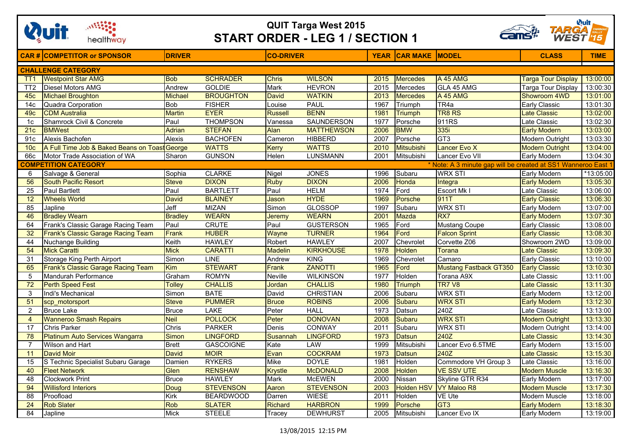

## **QUIT Targa West 2015 START ORDER - LEG 1 / SECTION 1**



|                           | <b>CAR# COMPETITOR or SPONSOR</b>                                                            | <b>DRIVER</b>  |                  | <b>CO-DRIVER</b> |                   |      | <b>YEAR CAR MAKE MODEL</b> |                        | <b>CLASS</b>              | <b>TIME</b>           |  |
|---------------------------|----------------------------------------------------------------------------------------------|----------------|------------------|------------------|-------------------|------|----------------------------|------------------------|---------------------------|-----------------------|--|
| <b>CHALLENGE CATEGORY</b> |                                                                                              |                |                  |                  |                   |      |                            |                        |                           |                       |  |
| TT <sub>1</sub>           | <b>Westpoint Star AMG</b>                                                                    | <b>Bob</b>     | <b>SCHRADER</b>  | <b>Chris</b>     | <b>WILSON</b>     | 2015 | <b>Mercedes</b>            | <b>A 45 AMG</b>        | <b>Targa Tour Display</b> | 13:00:00              |  |
| TT <sub>2</sub>           | Diesel Motors AMG                                                                            | Andrew         | <b>GOLDIE</b>    | Mark             | <b>HEVRON</b>     | 2015 | Mercedes                   | GLA 45 AMG             | Targa Tour Display        | 13:00:30              |  |
| 45c                       | <b>Michael Broughton</b>                                                                     | <b>Michael</b> | <b>BROUGHTON</b> | David            | <b>WATKIN</b>     | 2013 | <b>Mercedes</b>            | A 45 AMG               | Showroom 4WD              | 13:01:00              |  |
| 14 <sub>c</sub>           | Quadra Corporation                                                                           | <b>Bob</b>     | <b>FISHER</b>    | Louise           | <b>PAUL</b>       | 1967 | Triumph                    | TR4a                   | Early Classic             | 13:01:30              |  |
| 49 <sub>c</sub>           | <b>CDM Australia</b>                                                                         | <b>Martin</b>  | <b>EYER</b>      | <b>Russell</b>   | <b>BENN</b>       | 1981 | <b>Triumph</b>             | <b>TR8 RS</b>          | <b>Late Classic</b>       | 13:02:00              |  |
| 1 <sub>c</sub>            | Shamrock Civil & Concrete                                                                    | Paul           | <b>THOMPSON</b>  | Vanessa          | <b>SAUNDERSON</b> | 1977 | Porsche                    | 911RS                  | Late Classic              | 13:02:30              |  |
| 21c                       | <b>BMWest</b>                                                                                | Adrian         | <b>STEFAN</b>    | Alan             | <b>MATTHEWSON</b> | 2006 | <b>BMW</b>                 | 335i                   | <b>Early Modern</b>       | 13:03:00              |  |
| 91c                       | Alexis Bachofen                                                                              | <b>Alexis</b>  | <b>BACHOFEN</b>  | Cameron          | <b>HIBBERD</b>    | 2007 | Porsche                    | GT <sub>3</sub>        | <b>Modern Outright</b>    | 13:03:30              |  |
| 10 <sub>c</sub>           | A Full Time Job & Baked Beans on Toast George                                                |                | <b>WATTS</b>     | Kerry            | <b>WATTS</b>      | 2010 | <b>Mitsubishi</b>          | Lancer Evo X           | <b>Modern Outright</b>    | 13:04:00              |  |
| 66c                       | Motor Trade Association of WA                                                                | Sharon         | <b>GUNSON</b>    | Helen            | <b>LUNSMANN</b>   | 2001 | Mitsubishi                 | Lancer Evo VII         | <b>Early Modern</b>       | 13:04:30              |  |
|                           | <b>COMPETITION CATEGORY</b><br>* Note: A 3 minute gap will be created at SS1 Wanneroo East 1 |                |                  |                  |                   |      |                            |                        |                           |                       |  |
| 6                         | Salvage & General                                                                            | Sophia         | <b>CLARKE</b>    | Nigel            | <b>JONES</b>      | 1996 | Subaru                     | <b>WRX STI</b>         | <b>Early Modern</b>       | *13:05:00             |  |
| 56                        | <b>South Pacific Resort</b>                                                                  | <b>Steve</b>   | <b>DIXON</b>     | <b>Ruby</b>      | <b>DIXON</b>      | 2006 | <b>Honda</b>               | Integra                | <b>Early Modern</b>       | 13:05:30              |  |
| $\overline{25}$           | <b>Paul Bartlett</b>                                                                         | Paul           | <b>BARTLETT</b>  | Paul             | <b>HELM</b>       | 1974 | Ford                       | Escort Mk I            | Late Classic              | 13:06:00              |  |
| $\overline{12}$           | <b>Wheels World</b>                                                                          | <b>David</b>   | <b>BLAINEY</b>   | Jason            | <b>HYDE</b>       | 1969 | Porsche                    | 911T                   | <b>Early Classic</b>      | 13:06:30              |  |
| 85                        | Japline                                                                                      | Jeff           | <b>MIZAN</b>     | Simon            | <b>GLOSSOP</b>    | 1997 | Subaru                     | <b>WRX STI</b>         | Early Modern              | 13:07:00              |  |
| 46                        | <b>Bradley Wearn</b>                                                                         | <b>Bradley</b> | <b>WEARN</b>     | Jeremy           | <b>WEARN</b>      | 2001 | <b>Mazda</b>               | RX7                    | <b>Early Modern</b>       | 13:07:30              |  |
| 64                        | Frank's Classic Garage Racing Team                                                           | Paul           | <b>CRUTE</b>     | Paul             | <b>GUSTERSON</b>  | 1965 | Ford                       | <b>Mustang Coupe</b>   | Early Classic             | 13:08:00              |  |
| 32                        | Frank's Classic Garage Racing Team                                                           | Frank          | <b>HUBER</b>     | Wayne            | <b>TURNER</b>     | 1964 | Ford                       | <b>Falcon Sprint</b>   | <b>Early Classic</b>      | 13:08:30              |  |
| 44                        | Nuchange Building                                                                            | Keith          | <b>HAWLEY</b>    | Robert           | <b>HAWLEY</b>     | 2007 | Chevrolet                  | Corvette Z06           | Showroom 2WD              | 13:09:00              |  |
| $\overline{54}$           | <b>Mick Caratti</b>                                                                          | <b>Mick</b>    | <b>CARATTI</b>   | <b>Madelin</b>   | <b>KIRKHOUSE</b>  | 1978 | <b>Holden</b>              | <b>Torana</b>          | <b>Late Classic</b>       | 13:09:30              |  |
| 31                        | Storage King Perth Airport                                                                   | Simon          | <b>LINE</b>      | Andrew           | <b>KING</b>       | 1969 | Chevrolet                  | Camaro                 | <b>Early Classic</b>      | 13:10:00              |  |
| 65                        | Frank's Classic Garage Racing Team                                                           | Kim            | <b>STEWART</b>   | Frank            | <b>ZANOTTI</b>    | 1965 | Ford                       | Mustang Fastback GT350 | <b>Early Classic</b>      | 13:10:30              |  |
| 5                         | Mandurah Performance                                                                         | Graham         | <b>ROMYN</b>     | Neville          | <b>WILKINSON</b>  | 1977 | Holden                     | Torana A9X             | Late Classic              | 13:11:00              |  |
| 72                        | <b>Perth Speed Fest</b>                                                                      | Tolley         | <b>CHALLIS</b>   | Jordan           | <b>CHALLIS</b>    | 1980 | <b>Triumph</b>             | <b>TR7 V8</b>          | <b>Late Classic</b>       | 13:11:30              |  |
| 3                         | Indi's Mechanical                                                                            | Simon          | <b>BATE</b>      | David            | <b>CHRISTIAN</b>  | 2006 | Subaru                     | <b>WRX STI</b>         | Early Modern              | 13:12:00              |  |
| 51                        | scp motorsport                                                                               | <b>Steve</b>   | <b>PUMMER</b>    | <b>Bruce</b>     | <b>ROBINS</b>     | 2006 | Subaru                     | <b>WRX STI</b>         | <b>Early Modern</b>       | 13:12:30              |  |
| $\overline{2}$            | <b>Bruce Lake</b>                                                                            | Bruce          | <b>LAKE</b>      | Peter            | <b>HALL</b>       | 1973 | Datsun                     | 240Z                   | Late Classic              | 13:13:00              |  |
| $\overline{4}$            | <b>Wanneroo Smash Repairs</b>                                                                | <b>Neil</b>    | <b>POLLOCK</b>   | Peter            | <b>DONOVAN</b>    | 2008 | Subaru                     | <b>WRX STI</b>         | <b>Modern Outright</b>    | 13:13:30              |  |
| 17                        | <b>Chris Parker</b>                                                                          | Chris          | <b>PARKER</b>    | Denis            | CONWAY            | 2011 | Subaru                     | <b>WRX STI</b>         | Modern Outright           | 13:14:00              |  |
| 78                        | Platinum Auto Services Wangarra                                                              | Simon          | <b>LINGFORD</b>  | Susannah         | <b>LINGFORD</b>   | 1973 | <b>Datsun</b>              | 240Z                   | <b>Late Classic</b>       | 13:14:30              |  |
| $\overline{7}$            | Wilson and Hart                                                                              | <b>Brett</b>   | <b>GASCOIGNE</b> | Kate             | LAW               | 1999 | Mitsubishi                 | Lancer Evo 6.5TME      | Early Modern              | 13:15:00              |  |
| 11                        | <b>David Moir</b>                                                                            | <b>David</b>   | <b>MOIR</b>      | Evan             | <b>COCKRAM</b>    | 1973 | Datsun                     | 240Z                   | <b>Late Classic</b>       | 13:15:30              |  |
| $\overline{15}$           | S Technic Specialist Subaru Garage                                                           | Damien         | <b>RYKERS</b>    | <b>Mike</b>      | <b>DOYLE</b>      | 1981 | Holden                     | Commodore VH Group 3   | Late Classic              | $\overline{13:}16:00$ |  |
| 40                        | <b>Fleet Network</b>                                                                         | Glen           | <b>RENSHAW</b>   | <b>Krystle</b>   | <b>McDONALD</b>   | 2008 | <b>Holden</b>              | <b>VE SSV UTE</b>      | <b>Modern Muscle</b>      | 13:16:30              |  |
| $\overline{48}$           | <b>Clockwork Print</b>                                                                       | <b>Bruce</b>   | <b>HAWLEY</b>    | Mark             | <b>McEWEN</b>     | 2000 | Nissan                     | Skyline GTR R34        | Early Modern              | 13:17:00              |  |
| 94                        | <b>Willisford Interiors</b>                                                                  | Doug           | <b>STEVENSON</b> | Aaron            | <b>STEVENSON</b>  | 2003 | <b>Holden HSV</b>          | VY Maloo R8            | <b>Modern Muscle</b>      | 13:17:30              |  |
| $\overline{88}$           | Proofload                                                                                    | Kirk           | <b>BEARDWOOD</b> | Darren           | <b>WIESE</b>      | 2011 | Holden                     | <b>VE Ute</b>          | Modern Muscle             | 13:18:00              |  |
| 24                        | <b>Rob Slater</b>                                                                            | <b>Rob</b>     | <b>SLATER</b>    | Richard          | <b>HARBRON</b>    | 1999 | Porsche                    | GT <sub>3</sub>        | <b>Early Modern</b>       | 13:18:30              |  |
| 84                        | Japline                                                                                      | Mick           | <b>STEELE</b>    | Tracev           | <b>DEWHURST</b>   | 2005 | Mitsubishi                 | Lancer Evo IX          | Early Modern              | 13:19:00              |  |